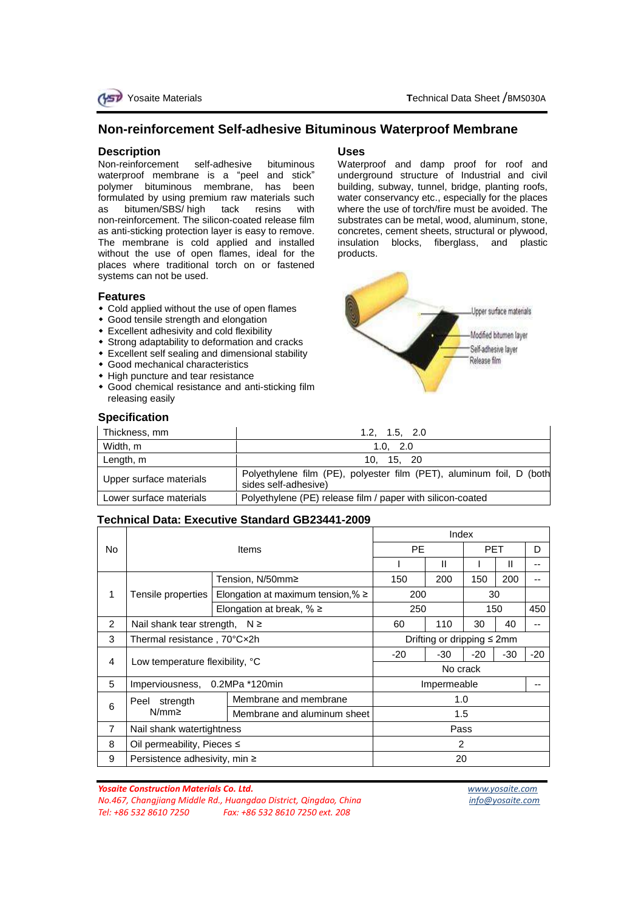## **Non-reinforcement Self-adhesive Bituminous Waterproof Membrane**

## **Description**

Non-reinforcement self-adhesive bituminous waterproof membrane is a "peel and stick" polymer bituminous membrane, has been formulated by using premium raw materials such as bitumen/SBS/ high tack resins with non-reinforcement. The silicon-coated release film as anti-sticking protection layer is easy to remove. The membrane is cold applied and installed without the use of open flames, ideal for the places where traditional torch on or fastened systems can not be used.

### **Features**

- Cold applied without the use of open flames
- Good tensile strength and elongation
- Excellent adhesivity and cold flexibility
- Strong adaptability to deformation and cracks
- Excellent self sealing and dimensional stability
- Good mechanical characteristics
- High puncture and tear resistance
- Good chemical resistance and anti-sticking film releasing easily

## **Specification**

# **Uses**

Waterproof and damp proof for roof and underground structure of Industrial and civil building, subway, tunnel, bridge, planting roofs, water conservancy etc., especially for the places where the use of torch/fire must be avoided. The substrates can be metal, wood, aluminum, stone, concretes, cement sheets, structural or plywood, insulation blocks, fiberglass, and plastic products.



| Thickness, mm           | 1.2, 1.5, 2.0                                                                                |  |  |
|-------------------------|----------------------------------------------------------------------------------------------|--|--|
| Width, m                | 1.0, 2.0                                                                                     |  |  |
| Length, m               | 10, 15, 20                                                                                   |  |  |
| Upper surface materials | Polyethylene film (PE), polyester film (PET), aluminum foil, D (both<br>sides self-adhesive) |  |  |
| Lower surface materials | Polyethylene (PE) release film / paper with silicon-coated                                   |  |  |

## **Technical Data: Executive Standard GB23441-2009**

|                | <b>Items</b>                       |                                         | Index                            |       |            |       |       |  |
|----------------|------------------------------------|-----------------------------------------|----------------------------------|-------|------------|-------|-------|--|
| No             |                                    |                                         | <b>PE</b>                        |       | <b>PET</b> |       | D     |  |
|                |                                    |                                         |                                  | Ш     |            | Ш     |       |  |
| 1              | Tensile properties                 | Tension, N/50mm≥                        | 150                              | 200   | 150        | 200   |       |  |
|                |                                    | Elongation at maximum tension, % $\geq$ | 200                              |       | 30         |       |       |  |
|                |                                    | Elongation at break, $% \geq$           | 250                              |       | 150        |       | 450   |  |
| 2              | Nail shank tear strength, $N \ge$  |                                         | 60                               | 110   | 30         | 40    |       |  |
| 3              | Thermal resistance, 70°Cx2h        |                                         | Drifting or dripping $\leq 2$ mm |       |            |       |       |  |
| 4              | Low temperature flexibility, °C    |                                         | -20                              | $-30$ | $-20$      | $-30$ | $-20$ |  |
|                |                                    |                                         | No crack                         |       |            |       |       |  |
| 5              | 0.2MPa *120min<br>Imperviousness,  |                                         | Impermeable                      |       |            |       |       |  |
| 6              | strength<br>Peel<br>$N/mm \geq$    | Membrane and membrane                   | 1.0                              |       |            |       |       |  |
|                |                                    | Membrane and aluminum sheet             | 1.5                              |       |            |       |       |  |
| $\overline{7}$ | Nail shank watertightness          |                                         | Pass                             |       |            |       |       |  |
| 8              | Oil permeability, Pieces ≤         |                                         | $\mathcal{P}$                    |       |            |       |       |  |
| 9              | Persistence adhesivity, min $\geq$ |                                         | 20                               |       |            |       |       |  |

*Yosaite Construction Materials Co. Ltd. [www.yosaite.com](http://www.yosaite.com/) No.467, Changjiang Middle Rd., Huangdao District, Qingdao, China info@yosaite.com Tel: +86 532 8610 7250 Fax: +86 532 8610 7250 ext. 208*